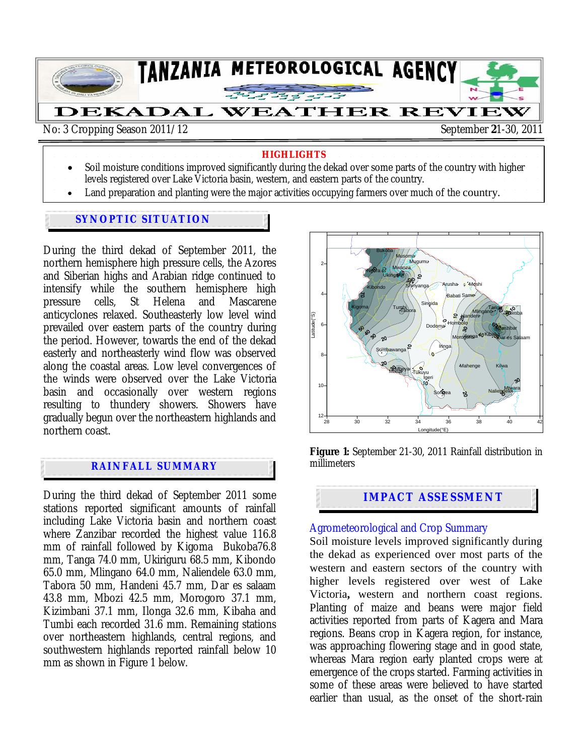

#### **HIGHLIGHTS**

- Soil moisture conditions improved significantly during the dekad over some parts of the country with higher levels registered over Lake Victoria basin, western, and eastern parts of the country.
- Land preparation and planting were the major activities occupying farmers over much of the country.

#### **SYNOPTIC SITUATION**

During the third dekad of September 2011, the northern hemisphere high pressure cells, the Azores and Siberian highs and Arabian ridge continued to intensify while the southern hemisphere high pressure cells, St Helena and Mascarene anticyclones relaxed. Southeasterly low level wind prevailed over eastern parts of the country during the period. However, towards the end of the dekad easterly and northeasterly wind flow was observed along the coastal areas. Low level convergences of the winds were observed over the Lake Victoria basin and occasionally over western regions resulting to thundery showers. Showers have gradually begun over the northeastern highlands and northern coast.

# **RAINFALL SUMMARY**

j

During the third dekad of September 2011 some stations reported significant amounts of rainfall including Lake Victoria basin and northern coast where Zanzibar recorded the highest value 116.8 mm of rainfall followed by Kigoma Bukoba76.8 mm, Tanga 74.0 mm, Ukiriguru 68.5 mm, Kibondo 65.0 mm, Mlingano 64.0 mm, Naliendele 63.0 mm, Tabora 50 mm, Handeni 45.7 mm, Dar es salaam 43.8 mm, Mbozi 42.5 mm, Morogoro 37.1 mm, Kizimbani 37.1 mm, Ilonga 32.6 mm, Kibaha and Tumbi each recorded 31.6 mm. Remaining stations over northeastern highlands, central regions, and southwestern highlands reported rainfall below 10 mm as shown in Figure 1 below.



**Figure 1:** September 21-30, 2011 Rainfall distribution in millimeters

# **IMPACT ASSESSMENT**

#### Agrometeorological and Crop Summary

Soil moisture levels improved significantly during the dekad as experienced over most parts of the western and eastern sectors of the country with higher levels registered over west of Lake Victoria**,** western and northern coast regions. Planting of maize and beans were major field activities reported from parts of Kagera and Mara regions. Beans crop in Kagera region, for instance, was approaching flowering stage and in good state, whereas Mara region early planted crops were at emergence of the crops started. Farming activities in some of these areas were believed to have started earlier than usual, as the onset of the short-rain